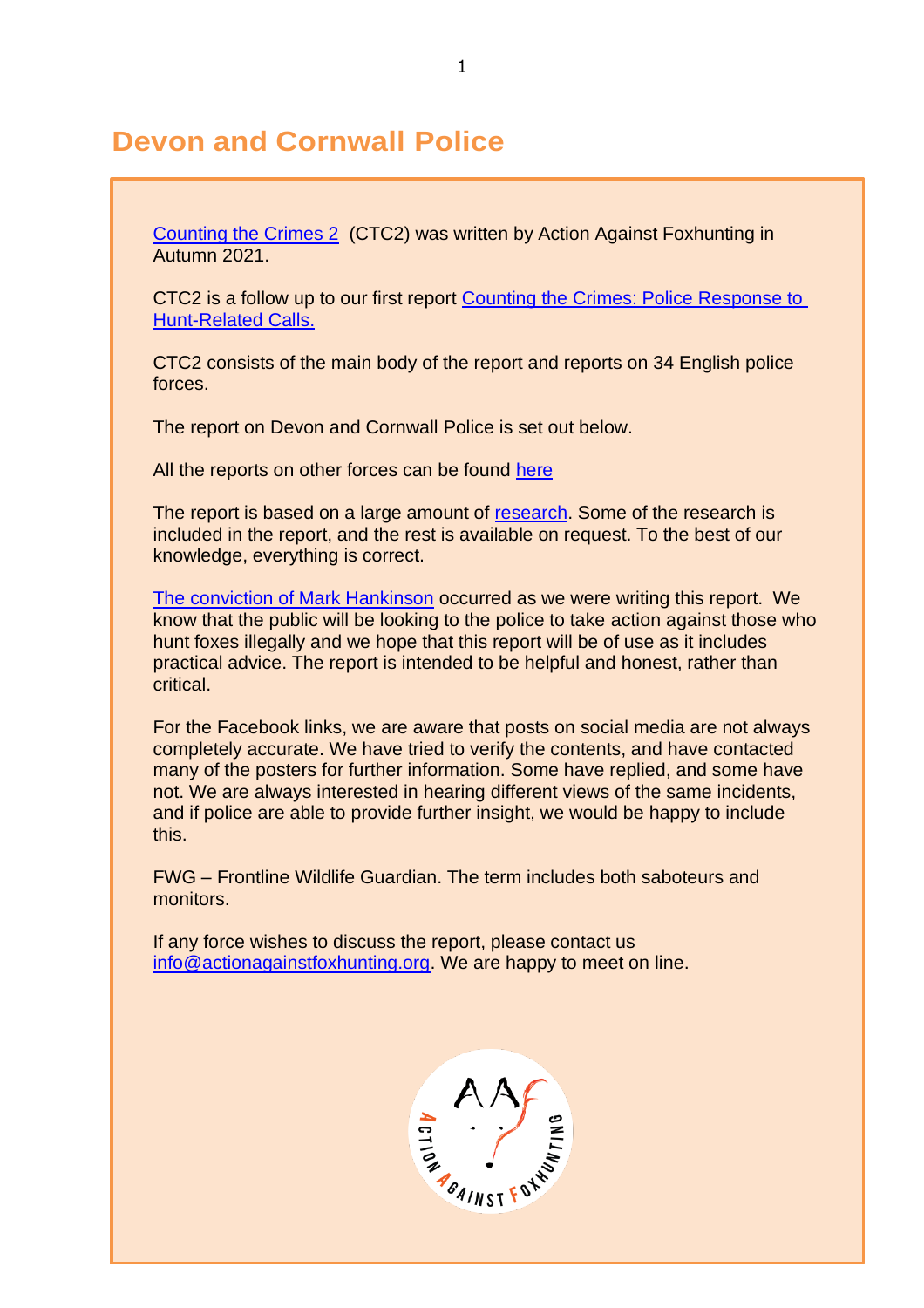# **Devon and Cornwall Police**

[Counting the Crimes 2](https://www.actionagainstfoxhunting.org/counting-the-crimes2-the-police-response/) (CTC2) was written by Action Against Foxhunting in Autumn 2021.

CTC2 is a follow up to our first report [Counting the Crimes: Police Response to](https://www.actionagainstfoxhunting.org/counting-the-crimes/)  [Hunt-Related Calls.](https://www.actionagainstfoxhunting.org/counting-the-crimes/)

CTC2 consists of the main body of the report and reports on 34 English police forces.

The report on Devon and Cornwall Police is set out below.

All the reports on other forces can be found [here](https://www.actionagainstfoxhunting.org/counting-the-crimes2-the-police-response/)

The report is based on a large amount of [research.](https://www.actionagainstfoxhunting.org/wp-content/uploads/2021/11/A-1411-Research-for-CTC2.pdf) Some of the research is included in the report, and the rest is available on request. To the best of our knowledge, everything is correct.

[The conviction of Mark Hankinson](https://www.league.org.uk/news-and-resources/news/hunting-office-webinars-the-road-to-conviction/) occurred as we were writing this report. We know that the public will be looking to the police to take action against those who hunt foxes illegally and we hope that this report will be of use as it includes practical advice. The report is intended to be helpful and honest, rather than critical.

For the Facebook links, we are aware that posts on social media are not always completely accurate. We have tried to verify the contents, and have contacted many of the posters for further information. Some have replied, and some have not. We are always interested in hearing different views of the same incidents, and if police are able to provide further insight, we would be happy to include this.

FWG – Frontline Wildlife Guardian. The term includes both saboteurs and monitors.

If any force wishes to discuss the report, please contact us [info@actionagainstfoxhunting.org.](mailto:info@actionagainstfoxhunting.org) We are happy to meet on line.

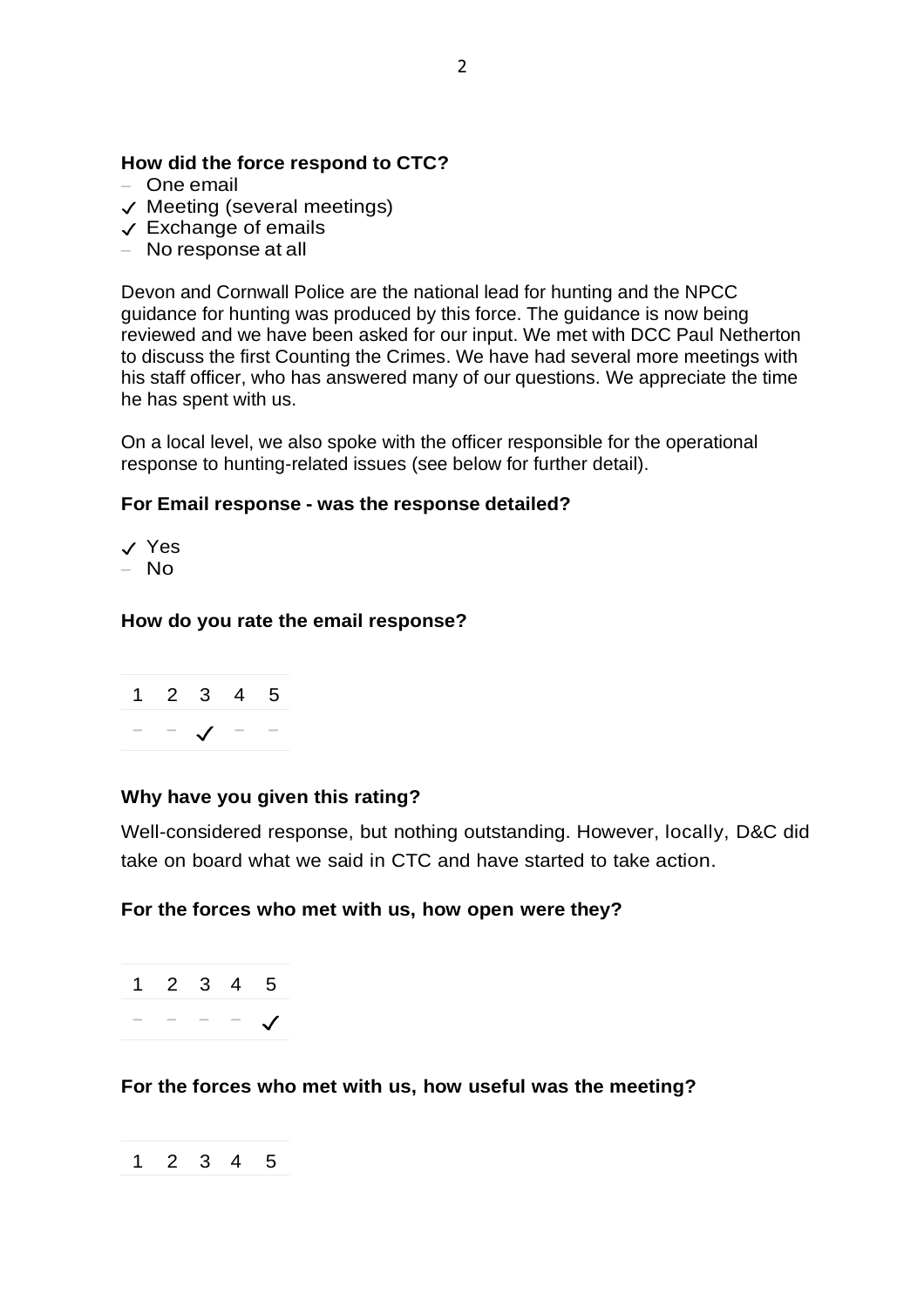## **How did the force respond to CTC?**

- One email
- ✓ Meeting (several meetings)
- ✓ Exchange of emails
- No response at all

Devon and Cornwall Police are the national lead for hunting and the NPCC guidance for hunting was produced by this force. The guidance is now being reviewed and we have been asked for our input. We met with DCC Paul Netherton to discuss the first Counting the Crimes. We have had several more meetings with his staff officer, who has answered many of our questions. We appreciate the time he has spent with us.

On a local level, we also spoke with the officer responsible for the operational response to hunting-related issues (see below for further detail).

#### **For Email response - was the response detailed?**

✓ Yes

– No

#### **How do you rate the email response?**



## **Why have you given this rating?**

Well-considered response, but nothing outstanding. However, locally, D&C did take on board what we said in CTC and have started to take action.

#### **For the forces who met with us, how open were they?**

1 2 3 4 5 − − − − ✓

**For the forces who met with us, how useful was the meeting?**

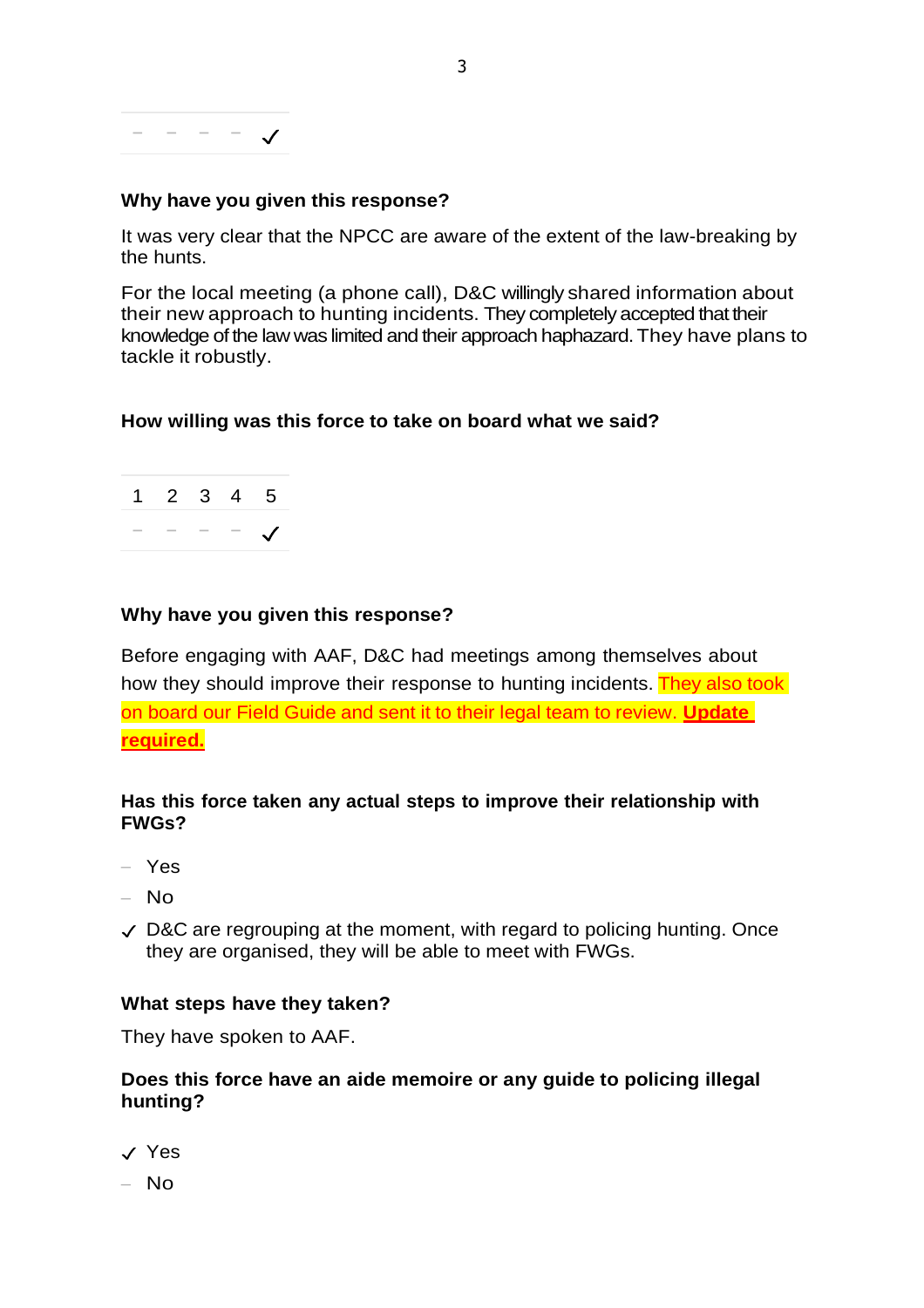

#### **Why have you given this response?**

It was very clear that the NPCC are aware of the extent of the law-breaking by the hunts.

For the local meeting (a phone call), D&C willingly shared information about their new approach to hunting incidents. They completely accepted that their knowledge of the law was limited and their approach haphazard. They have plans to tackle it robustly.

#### **How willing was this force to take on board what we said?**



#### **Why have you given this response?**

Before engaging with AAF, D&C had meetings among themselves about how they should improve their response to hunting incidents. They also took on board our Field Guide and sent it to their legal team to review. **Update required.**

#### **Has this force taken any actual steps to improve their relationship with FWGs?**

- Yes
- No
- $\vee$  D&C are regrouping at the moment, with regard to policing hunting. Once they are organised, they will be able to meet with FWGs.

#### **What steps have they taken?**

They have spoken to AAF.

#### **Does this force have an aide memoire or any guide to policing illegal hunting?**

- ✓ Yes
- $-$  No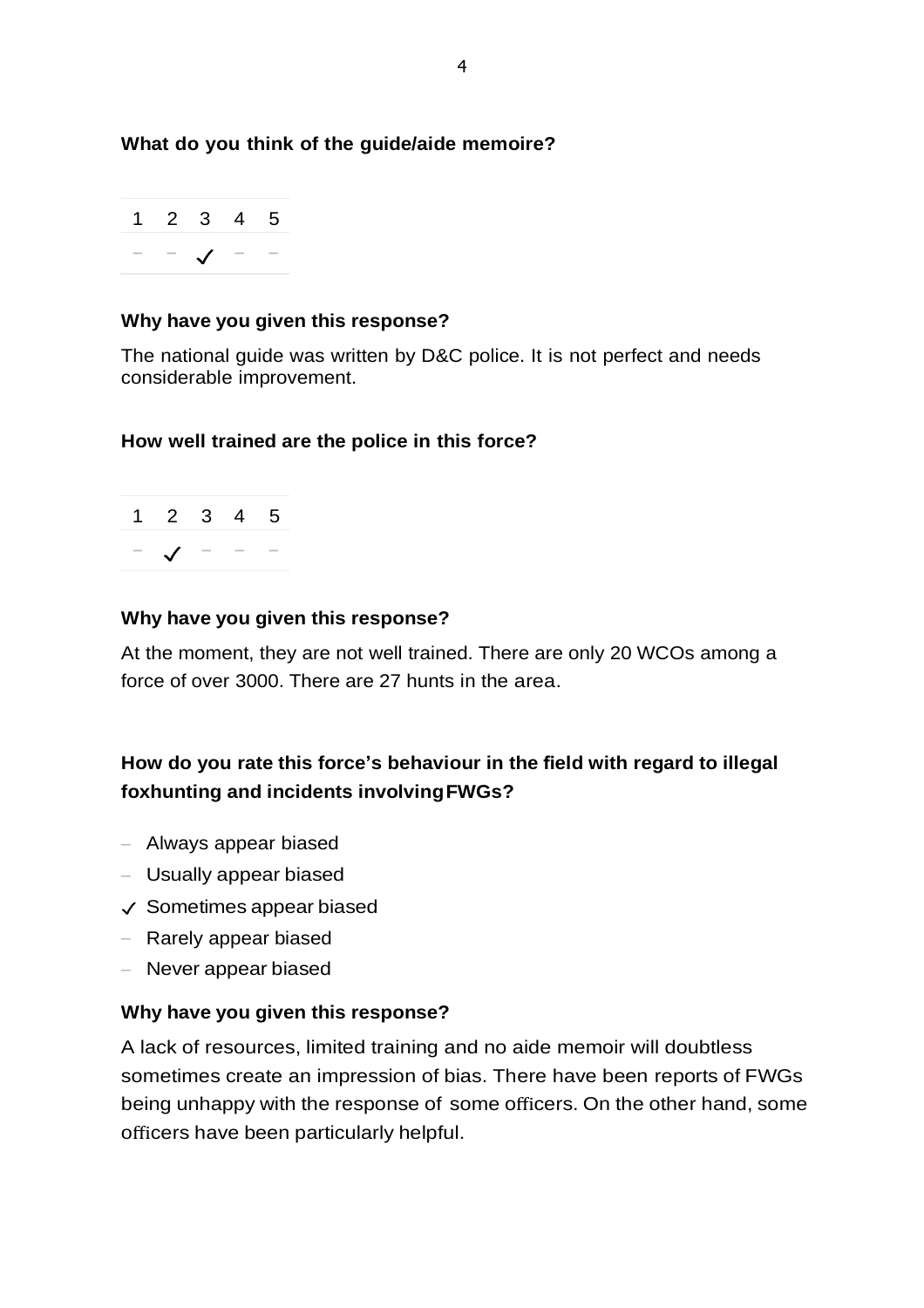## **What do you think of the guide/aide memoire?**



#### **Why have you given this response?**

The national guide was written by D&C police. It is not perfect and needs considerable improvement.

#### **How well trained are the police in this force?**



#### **Why have you given this response?**

At the moment, they are not well trained. There are only 20 WCOs among a force of over 3000. There are 27 hunts in the area.

# **How do you rate this force's behaviour in the field with regard to illegal foxhunting and incidents involvingFWGs?**

- Always appear biased
- Usually appear biased
- ✓ Sometimes appear biased
- Rarely appear biased
- Never appear biased

#### **Why have you given this response?**

A lack of resources, limited training and no aide memoir will doubtless sometimes create an impression of bias. There have been reports of FWGs being unhappy with the response of some officers. On the other hand, some officers have been particularly helpful.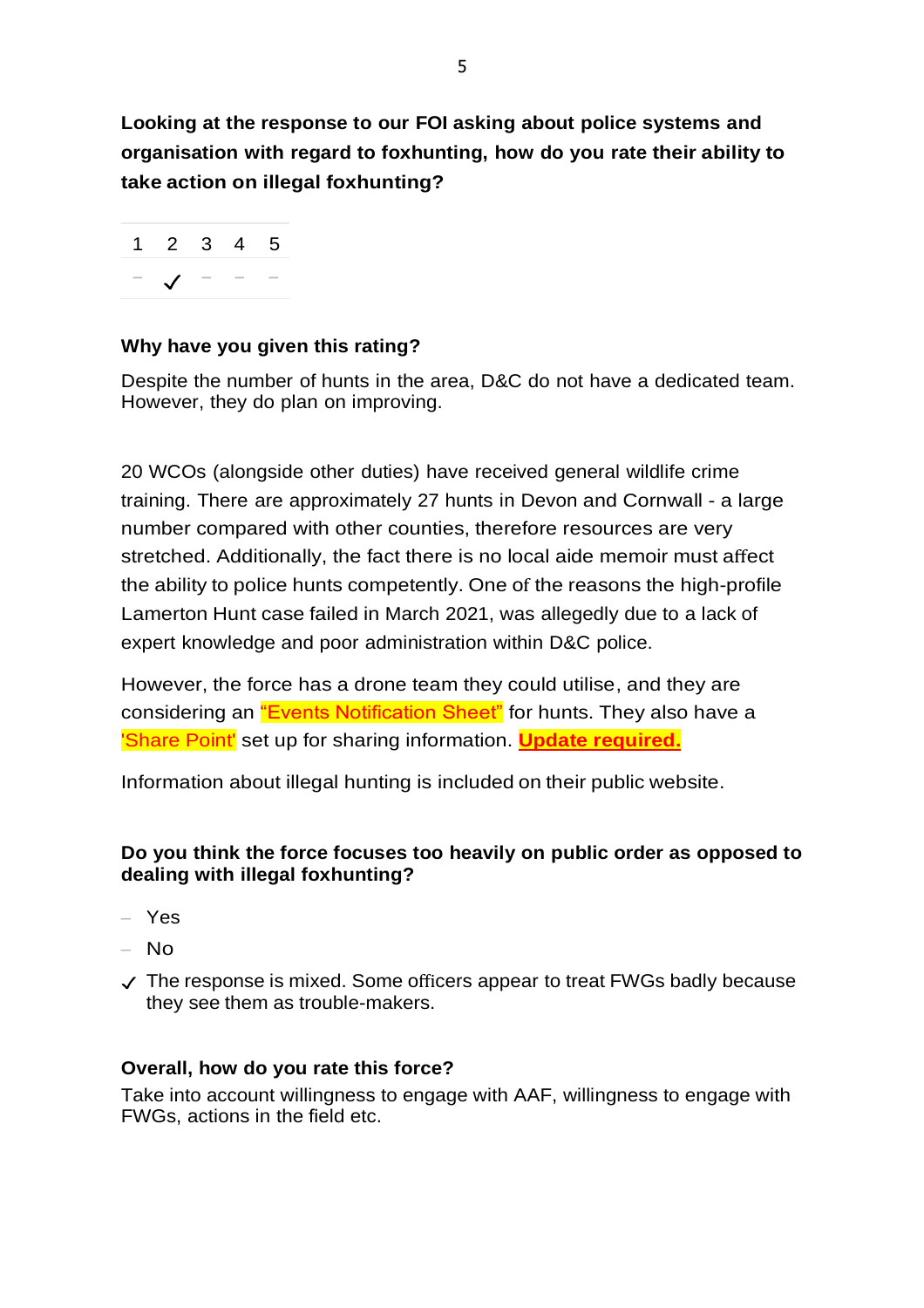**Looking at the response to our FOI asking about police systems and organisation with regard to foxhunting, how do you rate their ability to take action on illegal foxhunting?**



# **Why have you given this rating?**

Despite the number of hunts in the area, D&C do not have a dedicated team. However, they do plan on improving.

20 WCOs (alongside other duties) have received general wildlife crime training. There are approximately 27 hunts in Devon and Cornwall - a large number compared with other counties, therefore resources are very stretched. Additionally, the fact there is no local aide memoir must affect the ability to police hunts competently. One of the reasons the high-profile Lamerton Hunt case failed in March 2021, was allegedly due to a lack of expert knowledge and poor administration within D&C police.

However, the force has a drone team they could utilise, and they are considering an "Events Notification Sheet" for hunts. They also have a 'Share Point' set up for sharing information. **Update required.**

Information about illegal hunting is included on their public website.

# **Do you think the force focuses too heavily on public order as opposed to dealing with illegal foxhunting?**

- Yes
- $-$  No.
- ✓ The response is mixed. Some officers appear to treat FWGs badly because they see them as trouble-makers.

# **Overall, how do you rate this force?**

Take into account willingness to engage with AAF, willingness to engage with FWGs, actions in the field etc.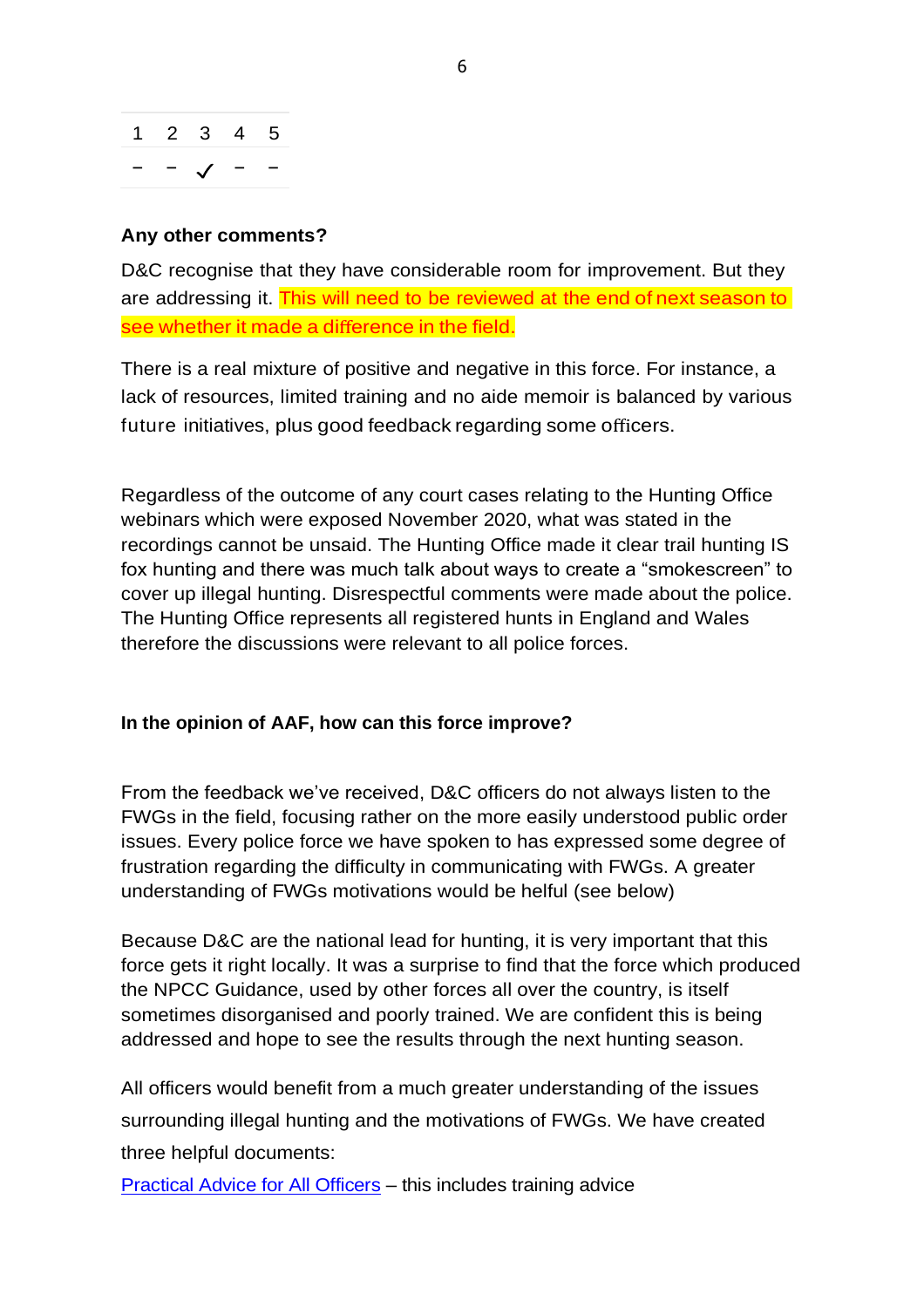

#### **Any other comments?**

D&C recognise that they have considerable room for improvement. But they are addressing it. This will need to be reviewed at the end of next season to see whether it made a difference in the field.

There is a real mixture of positive and negative in this force. For instance, a lack of resources, limited training and no aide memoir is balanced by various future initiatives, plus good feedback regarding some officers.

Regardless of the outcome of any court cases relating to the Hunting Office webinars which were exposed November 2020, what was stated in the recordings cannot be unsaid. The Hunting Office made it clear trail hunting IS fox hunting and there was much talk about ways to create a "smokescreen" to cover up illegal hunting. Disrespectful comments were made about the police. The Hunting Office represents all registered hunts in England and Wales therefore the discussions were relevant to all police forces.

#### **In the opinion of AAF, how can this force improve?**

From the feedback we've received, D&C officers do not always listen to the FWGs in the field, focusing rather on the more easily understood public order issues. Every police force we have spoken to has expressed some degree of frustration regarding the difficulty in communicating with FWGs. A greater understanding of FWGs motivations would be helful (see below)

Because D&C are the national lead for hunting, it is very important that this force gets it right locally. It was a surprise to find that the force which produced the NPCC Guidance, used by other forces all over the country, is itself sometimes disorganised and poorly trained. We are confident this is being addressed and hope to see the results through the next hunting season.

All officers would benefit from a much greater understanding of the issues surrounding illegal hunting and the motivations of FWGs. We have created three helpful documents:

[Practical Advice for All Officers](https://www.actionagainstfoxhunting.org/wp-content/uploads/2021/11/B-1411-Practical-Advice-for-all-Police-Forces.pdf) – this includes training advice